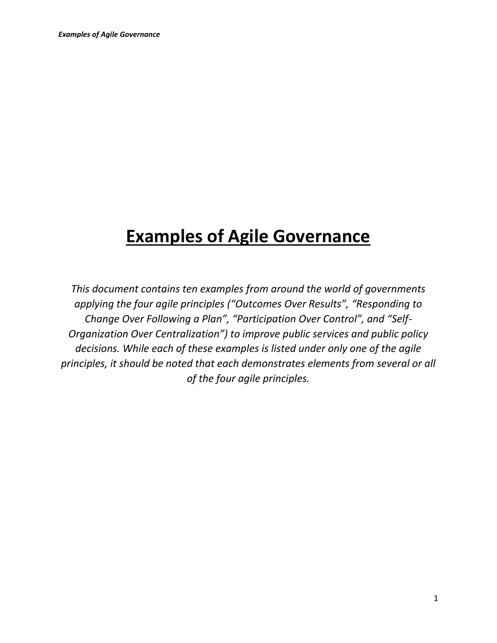# **Examples of Agile Governance**

*This document contains ten examples from around the world of governments applying the four agile principles ("Outcomes Over Results", "Responding to Change Over Following a Plan", "Participation Over Control", and "Self-Organization Over Centralization") to improve public services and public policy decisions. While each of these examples is listed under only one of the agile principles, it should be noted that each demonstrates elements from several or all of the four agile principles.*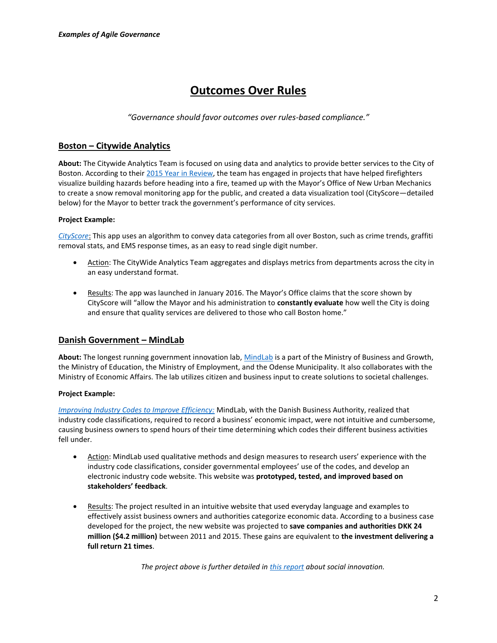# **Outcomes Over Rules**

*"Governance should favor outcomes over rules-based compliance."*

# **Boston – Citywide Analytics**

**About:** The Citywide Analytics Team is focused on using data and analytics to provide better services to the City of Boston. According to thei[r 2015 Year](https://www.google.com/url?sa=t&rct=j&q=&esrc=s&source=web&cd=3&cad=rja&uact=8&ved=0ahUKEwiwz9PfmJbLAhVLeT4KHQzfCUkQFgg1MAI&url=http%3A%2F%2Fwww.cityofboston.gov%2Fimages_documents%2FCitywide%2520Analytics%2520Team%25202015%2520Year-In-Review_tcm3-52899.pdf&usg=AFQjCNF2mg5e49pyo5EPfl4QZQxkzzkDcA&sig2=VhVZ7e9C3APZ8jp7W2RM-w) in Review, the team has engaged in projects that have helped firefighters visualize building hazards before heading into a fire, teamed up with the Mayor's Office of New Urban Mechanics to create a snow removal monitoring app for the public, and created a data visualization tool (CityScore—detailed below) for the Mayor to better track the government's performance of city services.

#### **Project Example:**

*[CityScore](http://www.cityofboston.gov/cityscore/)*: This app uses an algorithm to convey data categories from all over Boston, such as crime trends, graffiti removal stats, and EMS response times, as an easy to read single digit number.

- Action: The CityWide Analytics Team aggregates and displays metrics from departments across the city in an easy understand format.
- Results: The app was launched in January 2016. The Mayor's Office claims that the score shown by CityScore will "allow the Mayor and his administration to **constantly evaluate** how well the City is doing and ensure that quality services are delivered to those who call Boston home."

## **Danish Government – MindLab**

**About:** The longest running government innovation lab, [MindLab](http://mind-lab.dk/en/om-mindlab/) is a part of the Ministry of Business and Growth, the Ministry of Education, the Ministry of Employment, and the Odense Municipality. It also collaborates with the Ministry of Economic Affairs. The lab utilizes citizen and business input to create solutions to societal challenges.

#### **Project Example:**

*[Improving Industry Codes to Improve Efficiency:](http://mind-lab.dk/en/case/nyt-branchekodesite/)* MindLab, with the Danish Business Authority, realized that industry code classifications, required to record a business' economic impact, were not intuitive and cumbersome, causing business owners to spend hours of their time determining which codes their different business activities fell under.

- Action: MindLab used qualitative methods and design measures to research users' experience with the industry code classifications, consider governmental employees' use of the codes, and develop an electronic industry code website. This website was **prototyped, tested, and improved based on stakeholders' feedback**.
- Results: The project resulted in an intuitive website that used everyday language and examples to effectively assist business owners and authorities categorize economic data. According to a business case developed for the project, the new website was projected to **save companies and authorities DKK 24 million (\$4.2 million)** between 2011 and 2015. These gains are equivalent to **the investment delivering a full return 21 times**.

*The project above is further detailed i[n this report](http://www.helsinkidesignlab.org/legiblepractises) about social innovation.*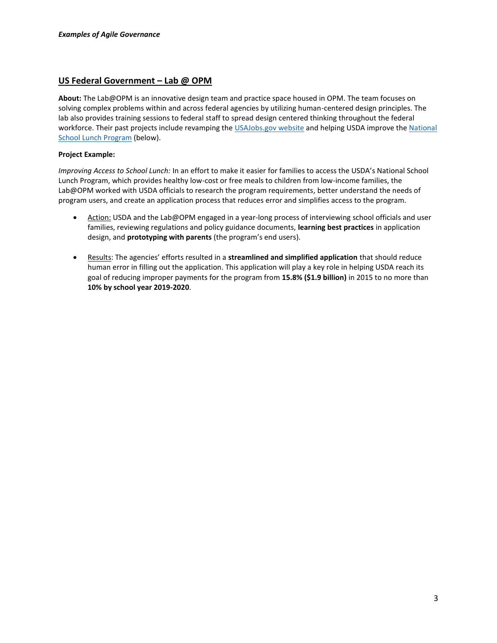### **US Federal Government – Lab @ OPM**

**About:** The Lab@OPM is an innovative design team and practice space housed in OPM. The team focuses on solving complex problems within and across federal agencies by utilizing human-centered design principles. The lab also provides training sessions to federal staff to spread design centered thinking throughout the federal workforce. Their past projects include revamping the [USAJobs.gov website](http://fedscoop.com/opm-innovation-lab-leads-usajobs-rebuild-with-agile) and helping USDA improve the [National](https://www.whitehouse.gov/blog/2015/09/04/using-human-centered-design-make-government-work-better-and-cost-less)  [School Lunch Program](https://www.whitehouse.gov/blog/2015/09/04/using-human-centered-design-make-government-work-better-and-cost-less) (below).

#### **Project Example:**

*Improving Access to School Lunch:* In an effort to make it easier for families to access the USDA's National School Lunch Program, which provides healthy low-cost or free meals to children from low-income families, the Lab@OPM worked with USDA officials to research the program requirements, better understand the needs of program users, and create an application process that reduces error and simplifies access to the program.

- Action: USDA and the Lab@OPM engaged in a year-long process of interviewing school officials and user families, reviewing regulations and policy guidance documents, **learning best practices** in application design, and **prototyping with parents** (the program's end users).
- Results: The agencies' efforts resulted in a **streamlined and simplified application** that should reduce human error in filling out the application. This application will play a key role in helping USDA reach its goal of reducing improper payments for the program from **15.8% (\$1.9 billion)** in 2015 to no more than **10% by school year 2019-2020**.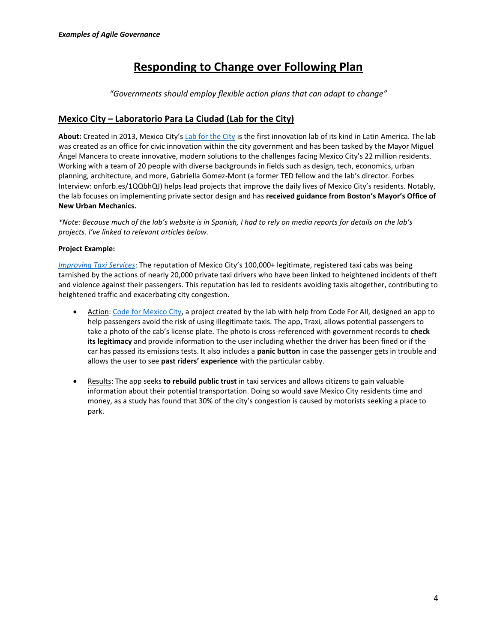# **Responding to Change over Following Plan**

*"Governments should employ flexible action plans that can adapt to change"*

# **Mexico City – Laboratorio Para La Ciudad (Lab for the City)**

**About:** Created in 2013, Mexico City's [Lab for the City](http://labcd.mx/labforthecity/) is the first innovation lab of its kind in Latin America. The lab was created as an office for civic innovation within the city government and has been tasked by the Mayor Miguel Ángel Mancera to create innovative, modern solutions to the challenges facing Mexico City's 22 million residents. Working with a team of 20 people with diverse backgrounds in fields such as design, tech, economics, urban planning, architecture, and more, Gabriella Gomez-Mont (a former TED fellow and the lab's director. Forbes Interview: onforb.es/1QQbhQJ) helps lead projects that improve the daily lives of Mexico City's residents. Notably, the lab focuses on implementing private sector design and has **received guidance from Boston's Mayor's Office of New Urban Mechanics.**

*\*Note: Because much of the lab's website is in Spanish, I had to rely on media reports for details on the lab's projects. I've linked to relevant articles below.*

### **Project Example:**

*[Improving Taxi Services](http://www.wired.com/2014/10/re-imagining-megalopolis/)*: The reputation of Mexico City's 100,000+ legitimate, registered taxi cabs was being tarnished by the actions of nearly 20,000 private taxi drivers who have been linked to heightened incidents of theft and violence against their passengers. This reputation has led to residents avoiding taxis altogether, contributing to heightened traffic and exacerbating city congestion.

- Action: [Code for Mexico City,](http://codeforall.org/partners/Code-for-Mexico/) a project created by the lab with help from Code For All, designed an app to help passengers avoid the risk of using illegitimate taxis. The app, Traxi, allows potential passengers to take a photo of the cab's license plate. The photo is cross-referenced with government records to **check its legitimacy** and provide information to the user including whether the driver has been fined or if the car has passed its emissions tests. It also includes a **panic button** in case the passenger gets in trouble and allows the user to see **past riders' experience** with the particular cabby.
- Results: The app seeks **to rebuild public trust** in taxi services and allows citizens to gain valuable information about their potential transportation. Doing so would save Mexico City residents time and money, as a study has found that 30% of the city's congestion is caused by motorists seeking a place to park.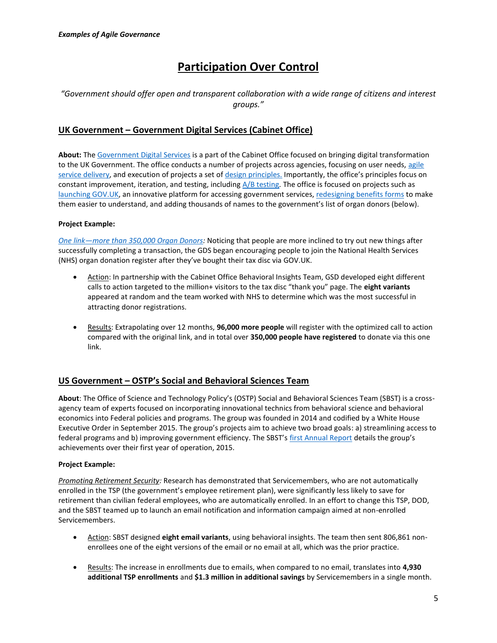# **Participation Over Control**

# "Government should offer open and transparent collaboration with a wide range of citizens and interest *groups."*

# **UK Government – Government Digital Services (Cabinet Office)**

**About:** The [Government Digital Services](https://gds.blog.gov.uk/about/) is a part of the Cabinet Office focused on bringing digital transformation to the UK Government. The office conducts a number of projects across agencies, focusing on user needs, agile [service delivery,](https://gds.blog.gov.uk/2015/06/30/outcomes-not-deliverables/) and execution of projects a set of [design principles.](https://www.gov.uk/design-principles) Importantly, the office's principles focus on constant improvement, iteration, and testing, including  $A/B$  testing. The office is focused on projects such as [launching GOV.UK,](https://gds.blog.gov.uk/2011/07/29/alpha-gov-uk-wrap-up/) an innovative platform for accessing government services[, redesigning benefits forms](https://gds.blog.gov.uk/2014/07/03/what-we-mean-when-we-say-service-transformation/) to make them easier to understand, and adding thousands of names to the government's list of organ donors (below).

#### **Project Example:**

*One link—[more than 350,000 Organ Donors:](https://gds.blog.gov.uk/2014/03/18/organ-donor-register/)* Noticing that people are more inclined to try out new things after successfully completing a transaction, the GDS began encouraging people to join the National Health Services (NHS) organ donation register after they've bought their tax disc via GOV.UK.

- Action: In partnership with the Cabinet Office Behavioral Insights Team, GSD developed eight different calls to action targeted to the million+ visitors to the tax disc "thank you" page. The **eight variants** appeared at random and the team worked with NHS to determine which was the most successful in attracting donor registrations.
- Results: Extrapolating over 12 months, **96,000 more people** will register with the optimized call to action compared with the original link, and in total over **350,000 people have registered** to donate via this one link.

# **US Government – OSTP's Social and Behavioral Sciences Team**

**About**: The Office of Science and Technology Policy's (OSTP) Social and Behavioral Sciences Team (SBST) is a crossagency team of experts focused on incorporating innovational technics from behavioral science and behavioral economics into Federal policies and programs. The group was founded in 2014 and codified by a White House Executive Order in September 2015. The group's projects aim to achieve two broad goals: a) streamlining access to federal programs and b) improving government efficiency. The SBST's [first Annual Report](http://www.ideas42.org/wp-content/uploads/2015/09/sbst_2015_annual_report_final_9_14_15.pdf) details the group's achievements over their first year of operation, 2015.

#### **Project Example:**

*Promoting Retirement Security:* Research has demonstrated that Servicemembers, who are not automatically enrolled in the TSP (the government's employee retirement plan), were significantly less likely to save for retirement than civilian federal employees, who are automatically enrolled. In an effort to change this TSP, DOD, and the SBST teamed up to launch an email notification and information campaign aimed at non-enrolled Servicemembers.

- Action: SBST designed **eight email variants**, using behavioral insights. The team then sent 806,861 nonenrollees one of the eight versions of the email or no email at all, which was the prior practice.
- Results: The increase in enrollments due to emails, when compared to no email, translates into **4,930 additional TSP enrollments** and **\$1.3 million in additional savings** by Servicemembers in a single month.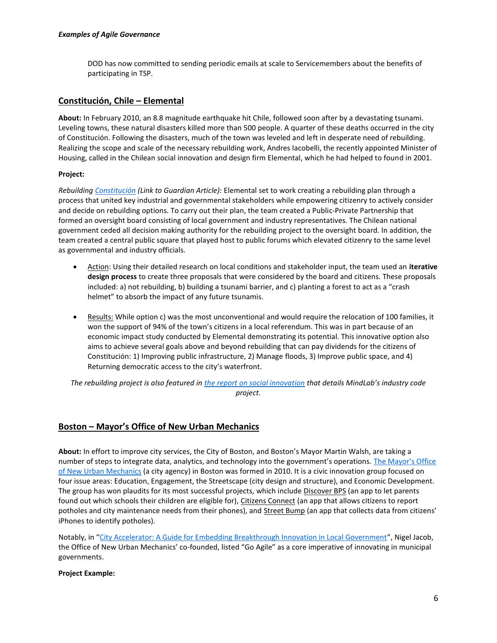DOD has now committed to sending periodic emails at scale to Servicemembers about the benefits of participating in TSP.

### **Constitución, Chile – Elemental**

**About:** In February 2010, an 8.8 magnitude earthquake hit Chile, followed soon after by a devastating tsunami. Leveling towns, these natural disasters killed more than 500 people. A quarter of these deaths occurred in the city of Constitución. Following the disasters, much of the town was leveled and left in desperate need of rebuilding. Realizing the scope and scale of the necessary rebuilding work, Andres Iacobelli, the recently appointed Minister of Housing, called in the Chilean social innovation and design firm Elemental, which he had helped to found in 2001.

#### **Project:**

*Rebuilding [Constitución](http://www.theguardian.com/cities/2015/feb/23/rebuilding-chile-constitucion-earthquake-tsunami) (Link to Guardian Article):* Elemental set to work creating a rebuilding plan through a process that united key industrial and governmental stakeholders while empowering citizenry to actively consider and decide on rebuilding options. To carry out their plan, the team created a Public-Private Partnership that formed an oversight board consisting of local government and industry representatives. The Chilean national government ceded all decision making authority for the rebuilding project to the oversight board. In addition, the team created a central public square that played host to public forums which elevated citizenry to the same level as governmental and industry officials.

- Action: Using their detailed research on local conditions and stakeholder input, the team used an **iterative design process** to create three proposals that were considered by the board and citizens. These proposals included: a) not rebuilding, b) building a tsunami barrier, and c) planting a forest to act as a "crash helmet" to absorb the impact of any future tsunamis.
- Results: While option c) was the most unconventional and would require the relocation of 100 families, it won the support of 94% of the town's citizens in a local referendum. This was in part because of an economic impact study conducted by Elemental demonstrating its potential. This innovative option also aims to achieve several goals above and beyond rebuilding that can pay dividends for the citizens of Constitución: 1) Improving public infrastructure, 2) Manage floods, 3) Improve public space, and 4) Returning democratic access to the city's waterfront.

*The rebuilding project is also featured i[n the report on social innovation](http://www.helsinkidesignlab.org/legiblepractises) that details MindLab's industry code project.*

## **Boston – Mayor's Office of New Urban Mechanics**

**About:** In effort to improve city services, the City of Boston, and Boston's Mayor Martin Walsh, are taking a number of steps to integrate data, analytics, and technology into the government's operations. The Mayor's Office [of New Urban Mechanics](http://newurbanmechanics.org/about/) (a city agency) in Boston was formed in 2010. It is a civic innovation group focused on four issue areas: Education, Engagement, the Streetscape (city design and structure), and Economic Development. The group has won plaudits for its most successful projects, which include Discover BPS (an app to let parents found out which schools their children are eligible for), Citizens Connect (an app that allows citizens to report potholes and city maintenance needs from their phones), and Street Bump (an app that collects data from citizens' iPhones to identify potholes).

Notably, in "[City Accelerator: A Guide for Embedding Breakthrough Innovation in Local Government](https://www.livingcities.org/resources/286-city-accelerator-guide-for-embedding-innovation-in-local-government)", Nigel Jacob, the Office of New Urban Mechanics' co-founded, listed "Go Agile" as a core imperative of innovating in municipal governments.

#### **Project Example:**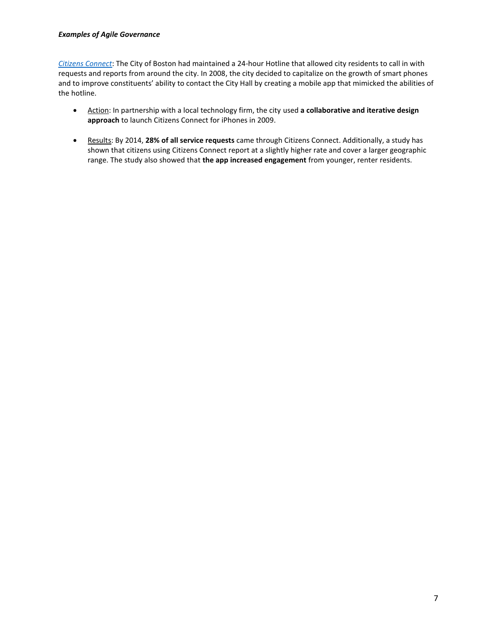#### *Examples of Agile Governance*

*[Citizens Connect](http://newurbanmechanics.org/project/citizens-connect/)*: The City of Boston had maintained a 24-hour Hotline that allowed city residents to call in with requests and reports from around the city. In 2008, the city decided to capitalize on the growth of smart phones and to improve constituents' ability to contact the City Hall by creating a mobile app that mimicked the abilities of the hotline.

- Action: In partnership with a local technology firm, the city used **a collaborative and iterative design approach** to launch Citizens Connect for iPhones in 2009.
- **Results: By 2014, 28% of all service requests** came through Citizens Connect. Additionally, a study has shown that citizens using Citizens Connect report at a slightly higher rate and cover a larger geographic range. The study also showed that **the app increased engagement** from younger, renter residents.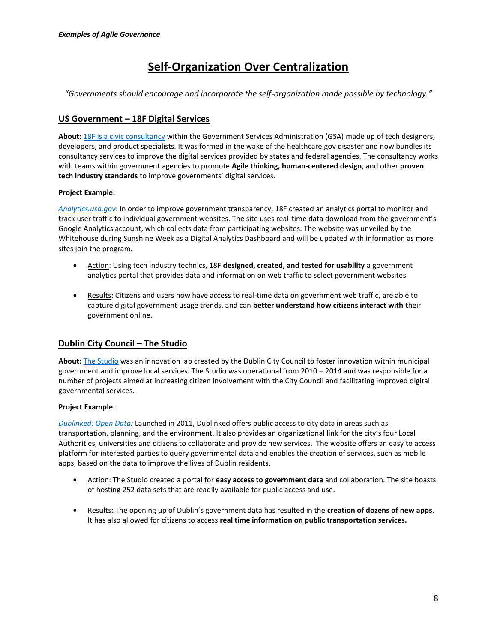# **Self-Organization Over Centralization**

*"Governments should encourage and incorporate the self-organization made possible by technology."*

# **US Government – 18F Digital Services**

**About:** [18F is a civic consultancy](https://18f.gsa.gov/) within the Government Services Administration (GSA) made up of tech designers, developers, and product specialists. It was formed in the wake of the healthcare.gov disaster and now bundles its consultancy services to improve the digital services provided by states and federal agencies. The consultancy works with teams within government agencies to promote **Agile thinking, human-centered design**, and other **proven tech industry standards** to improve governments' digital services.

### **Project Example:**

*[Analytics.usa.gov](https://analytics.usa.gov/)*: In order to improve government transparency, 18F created an analytics portal to monitor and track user traffic to individual government websites. The site uses real-time data download from the government's Google Analytics account, which collects data from participating websites. The website was unveiled by the Whitehouse during Sunshine Week as a Digital Analytics Dashboard and will be updated with information as more sites join the program.

- Action: Using tech industry technics, 18F **designed, created, and tested for usability** a government analytics portal that provides data and information on web traffic to select government websites.
- Results: Citizens and users now have access to real-time data on government web traffic, are able to capture digital government usage trends, and can **better understand how citizens interact with** their government online.

# **Dublin City Council – The Studio**

**About:** [The Studio](https://dccstudio.wordpress.com/about/) was an innovation lab created by the Dublin City Council to foster innovation within municipal government and improve local services. The Studio was operational from 2010 – 2014 and was responsible for a number of projects aimed at increasing citizen involvement with the City Council and facilitating improved digital governmental services.

#### **Project Example**:

*[Dublinked: Open Data:](http://dublinked.ie/)* Launched in 2011, Dublinked offers public access to city data in areas such as transportation, planning, and the environment. It also provides an organizational link for the city's four Local Authorities, universities and citizens to collaborate and provide new services. The website offers an easy to access platform for interested parties to query governmental data and enables the creation of services, such as mobile apps, based on the data to improve the lives of Dublin residents.

- Action: The Studio created a portal for **easy access to government data** and collaboration. The site boasts of hosting 252 data sets that are readily available for public access and use.
- Results: The opening up of Dublin's government data has resulted in the **creation of dozens of new apps**. It has also allowed for citizens to access **real time information on public transportation services.**